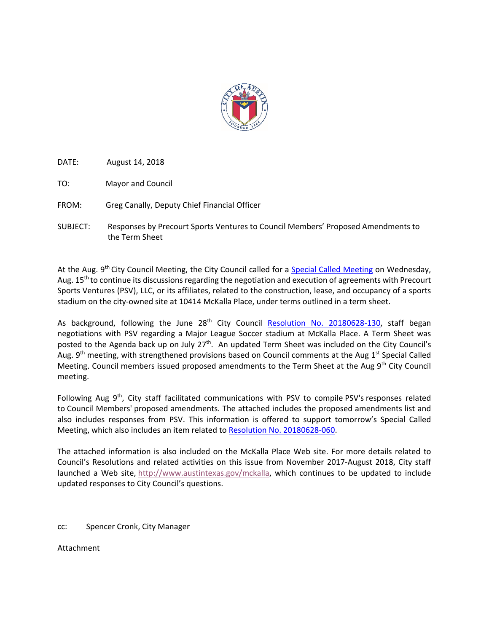

DATE: August 14, 2018

TO: Mayor and Council

FROM: Greg Canally, Deputy Chief Financial Officer

SUBJECT: Responses by Precourt Sports Ventures to Council Members' Proposed Amendments to the Term Sheet

At the Aug. 9<sup>th</sup> City Council Meeting, the City Council called for a [Special Called Meeting](http://www.austintexas.gov/department/city-council/2018/20180815-spec.htm) on Wednesday, Aug. 15<sup>th</sup> to continue its discussions regarding the negotiation and execution of agreements with Precourt Sports Ventures (PSV), LLC, or its affiliates, related to the construction, lease, and occupancy of a sports stadium on the city-owned site at 10414 McKalla Place, under terms outlined in a term sheet.

As background, following the June  $28<sup>th</sup>$  City Council [Resolution No. 20180628-130,](http://www.austintexas.gov/edims/document.cfm?id=301685) staff began negotiations with PSV regarding a Major League Soccer stadium at McKalla Place. A Term Sheet was posted to the Agenda back up on July 27<sup>th</sup>. An updated Term Sheet was included on the City Council's Aug. 9<sup>th</sup> meeting, with strengthened provisions based on Council comments at the Aug 1<sup>st</sup> Special Called Meeting. Council members issued proposed amendments to the Term Sheet at the Aug  $9<sup>th</sup>$  City Council meeting.

Following Aug 9<sup>th</sup>, City staff facilitated communications with PSV to compile PSV's responses related to Council Members' proposed amendments. The attached includes the proposed amendments list and also includes responses from PSV. This information is offered to support tomorrow's Special Called Meeting, which also includes an item related t[o Resolution No. 20180628-060.](http://www.austintexas.gov/edims/document.cfm?id=301653)

The attached information is also included on the McKalla Place Web site. For more details related to Council's Resolutions and related activities on this issue from November 2017-August 2018, City staff launched a Web site, [http://www.austintexas.gov/mckalla,](http://www.austintexas.gov/mckalla) which continues to be updated to include updated responses to City Council's questions.

## cc: Spencer Cronk, City Manager

Attachment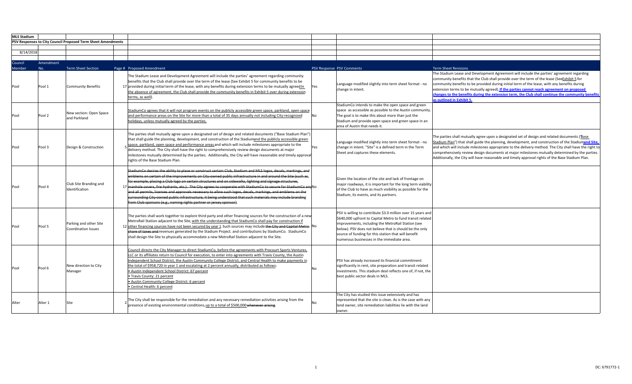| <b>MLS Stadium</b> |           |                                                              |                                                                                                                                                                                                                                                                                                                                                                                                                                                                                                                                                                                                                                                                                                                                                                   |           |                                                                                                                                                                                                                                                                                                                                                   |                                                                                                                                                                                                                                                                                                                                                                                                                                                                                                                         |
|--------------------|-----------|--------------------------------------------------------------|-------------------------------------------------------------------------------------------------------------------------------------------------------------------------------------------------------------------------------------------------------------------------------------------------------------------------------------------------------------------------------------------------------------------------------------------------------------------------------------------------------------------------------------------------------------------------------------------------------------------------------------------------------------------------------------------------------------------------------------------------------------------|-----------|---------------------------------------------------------------------------------------------------------------------------------------------------------------------------------------------------------------------------------------------------------------------------------------------------------------------------------------------------|-------------------------------------------------------------------------------------------------------------------------------------------------------------------------------------------------------------------------------------------------------------------------------------------------------------------------------------------------------------------------------------------------------------------------------------------------------------------------------------------------------------------------|
|                    |           | PSV Responses to City Council Proposed Term Sheet Amendments |                                                                                                                                                                                                                                                                                                                                                                                                                                                                                                                                                                                                                                                                                                                                                                   |           |                                                                                                                                                                                                                                                                                                                                                   |                                                                                                                                                                                                                                                                                                                                                                                                                                                                                                                         |
|                    |           |                                                              |                                                                                                                                                                                                                                                                                                                                                                                                                                                                                                                                                                                                                                                                                                                                                                   |           |                                                                                                                                                                                                                                                                                                                                                   |                                                                                                                                                                                                                                                                                                                                                                                                                                                                                                                         |
| 8/14/2018          |           |                                                              |                                                                                                                                                                                                                                                                                                                                                                                                                                                                                                                                                                                                                                                                                                                                                                   |           |                                                                                                                                                                                                                                                                                                                                                   |                                                                                                                                                                                                                                                                                                                                                                                                                                                                                                                         |
| Council            | Amendment |                                                              |                                                                                                                                                                                                                                                                                                                                                                                                                                                                                                                                                                                                                                                                                                                                                                   |           |                                                                                                                                                                                                                                                                                                                                                   |                                                                                                                                                                                                                                                                                                                                                                                                                                                                                                                         |
| <b>Member</b>      | No.       | <b>Term Sheet Section</b>                                    | Page # Proposed Amendment                                                                                                                                                                                                                                                                                                                                                                                                                                                                                                                                                                                                                                                                                                                                         |           | PSV Response PSV Comments                                                                                                                                                                                                                                                                                                                         | <b>Term Sheet Revisions</b>                                                                                                                                                                                                                                                                                                                                                                                                                                                                                             |
| Pool               | Pool 1    | <b>Community Benefits</b>                                    | The Stadium Lease and Development Agreement will include the parties' agreement regarding community<br>benefits that the Club shall provide over the term of the lease (See Exhibit 5 for community benefits to be<br>17 provided during initial term of the lease, with any benefits during extension terms to be mutually agreed in<br>the absence of agreement, the Club shall provide the community benefits in Exhibit 5 over during extension<br>terms, as well).                                                                                                                                                                                                                                                                                           | Yes       | Language modified slightly into term sheet format - no<br>change in intent.                                                                                                                                                                                                                                                                       | The Stadium Lease and Development Agreement will include the parties' agreement regarding<br>community benefits that the Club shall provide over the term of the lease (SeeExhibit 5 for<br>community benefits to be provided during initial term of the lease, with any benefits during<br>extension terms to be mutually agreed). If the parties cannot reach agreement on proposed<br>changes to the benefits during the extension term, the Club shall continue the community benefits<br>as outlined in Exhibit 5. |
| Pool               | Pool 2    | New section: Open Space<br>and Parkland                      | StadiumCo agrees that it will not program events on the publicly accessible green space, parkland, open space<br>and performance areas on the Site for more than a total of 35 days annually not including City-recognized<br>holidays, unless mutually agreed by the parties.                                                                                                                                                                                                                                                                                                                                                                                                                                                                                    | No        | StadiumCo intends to make the open space and green<br>space as accessible as possible to the Austin community.<br>The goal is to make this about more than just the<br>Stadium and provide open space and green space in an<br>area of Austin that needs it.                                                                                      |                                                                                                                                                                                                                                                                                                                                                                                                                                                                                                                         |
| Pool               | Pool 3    | Design & Construction                                        | The parties shall mutually agree upon a designated set of design and related documents ("Base Stadium Plan")<br>that shall guide the planning, development, and construction of the Stadiumand the publicly accessible green<br>space, parkland, open space and performance areas and which will include milestones appropriate to the<br>delivery method. The City shall have the right to comprehensively review design documents at major<br>milestones mutually determined by the parties. Additionally, the City will have reasonable and timely approva<br>rights of the Base Stadium Plan.                                                                                                                                                                 | Yes       | Language modified slightly into term sheet format - no<br>change in intent. "Site" is a defined term in the Term<br>Sheet and captures these elements.                                                                                                                                                                                            | The parties shall mutually agree upon a designated set of design and related documents (Base<br>Stadium Plan") that shall guide the planning, development, and construction of the Stadiumand Site.<br>and which will include milestones appropriate to the delivery method. The City shall have the right to<br>comprehensively review design documents at major milestones mutually determined by the parties.<br>Additionally, the City will have reasonable and timely approval rights of the Base Stadium Plan.    |
| Pool               | Pool 4    | Club Site Branding and<br>Identification                     | StadiumCo desires the ability to place or construct certain Club, Stadium and MLS logos, decals, markings, and<br>ems on certain of the improvements on City-owned public infrastructure in and around the Site (such as,<br>---------<br>placing a Club logo on certain structures and on sidewalks, lighting and signage structures,<br>17 manhole covers, fire hydrants, etc.). The City agrees to cooperate with StadiumCo to secure for StadiumCo and No<br>and all permits, licenses and approvals necessary to allow such logos, decals, markings, and emblems on the<br>surrounding City-owned public infrastructure, it being understood that such materials may include branding<br>from Club sponsors (e.g., naming rights partner or jersey sponsor). |           | Given the location of the site and lack of frontage on<br>major roadways, it is important for the long term viability<br>of the Club to have as much visibility as possible for the<br>Stadium, its events, and its partners.                                                                                                                     |                                                                                                                                                                                                                                                                                                                                                                                                                                                                                                                         |
| Pool               | Pool 5    | Parking and other Site<br>Coordination Issues                | The parties shall work together to explore third party and other financing sources for the construction of a new<br>MetroRail Station adjacent to the Site, with the understanding that StadiumCo shall pay for construction if<br>12 other financing sources have not been secured by year 1 Such sources may include the City and Capital Metro<br>share of taxes and revenues generated by the Stadium Project. and contributions by StadiumCo. StadiumCo<br>shall design the Site to physically accommodate a new MetroRail Station adjacent to the Site.                                                                                                                                                                                                     |           | PSV is willing to contribute \$3.0 million over 15 years and<br>\$640,000 upfront to Capital Metro to fund transit related<br>improvements, including the MetroRail Station (see<br>below). PSV does not believe that is should be the only<br>source of funding for this station that will benefit<br>numerous businesses in the immediate area. |                                                                                                                                                                                                                                                                                                                                                                                                                                                                                                                         |
| Pool               | Pool 6    | New direction to City<br>Manager                             | Council directs the City Manager to direct StadiumCo, before the agreements with Precourt Sports Ventures,<br>LLC or its affiliates return to Council for execution, to enter into agreements with Travis County, the Austin<br>Independent School District, the Austin Community College District, and Central Health to make payments in<br>the total of \$958,720 in year 1 and escalating at 2 percent annually, distributed as follows:<br>· Austin Independent School District: 67 percent<br>• Travis County: 21 percent<br>· Austin Community College District: 6 percent<br>• Central Health: 6 percent                                                                                                                                                  | <b>No</b> | PSV has already increased its financial commitment<br>significantly in rent, site preparation and transit related<br>investments. This stadium deal reflects one of, if not, the<br>best public sector deals in MLS.                                                                                                                              |                                                                                                                                                                                                                                                                                                                                                                                                                                                                                                                         |
| Alter              | Alter 1   | Site                                                         | The City shall be responsible for the remediation and any necessary remediation activities arising from the<br>presence of existing environmental conditions, up to a total of \$500,000 whenever arising.                                                                                                                                                                                                                                                                                                                                                                                                                                                                                                                                                        | No        | The City has studied this issue extensively and has<br>represented that the site is clean. As is the case with any<br>land owner, site remediation liabilities lie with the land<br>owner.                                                                                                                                                        |                                                                                                                                                                                                                                                                                                                                                                                                                                                                                                                         |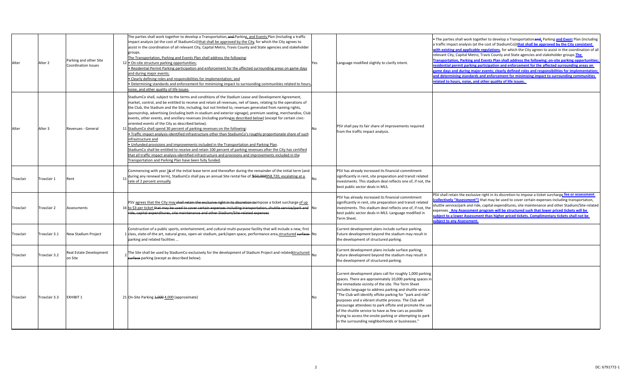| Alter            | Alter 2       | Parking and other Site<br><b>Coordination Issues</b> | The parties shall work together to develop a Transportation, and Parking, and Events Plan (including a traffic<br>impact analysis (at the cost of StadiumCo)) that shall be approved by the City, for which the City agrees to<br>assist in the coordination of all relevant City, Capital Metro, Travis County and State agencies and stakeholder<br>groups.<br>The Transportation, Parking and Events Plan shall address the following:<br>12 . On-site structure parking opportunities;<br>. Residential Permit Parking participation and enforcement for the affected surrounding areas on game days<br>and during major events;<br>. Clearly defining roles and responsibilities for implementation; and<br>. Determining standards and enforcement for minimizing impact to surrounding communities related to hours.<br>noise, and other quality of life issues                                                                                                                                                                                                                                                                                                                                                                 | Yes | Language modified slightly to clarify intent.                                                                                                                                                                                                                                                                                                                                                                                                                                                                                                                                                         | The parties shall work together to develop a Transportation and, Parking and Event Plan (including<br>a traffic impact analysis (at the cost of StadiumCo))that shall be approved by the City consistent<br>with existing and applicable regulations, for which the City agrees to assist in the coordination of all<br>relevant City, Capital Metro, Travis County and State agencies and stakeholder groups. The<br>Transportation, Parking and Events Plan shall address the following: on-site parking opportunities<br>residential permit parking participation and enforcement for the affected surrounding areas on<br>rame days and during major events; clearly defined roles and responsibilities for implementation;<br>and determining standards and enforcement for minimizing impact to surrounding communities<br>related to hours, noise, and other quality of life issues. |
|------------------|---------------|------------------------------------------------------|----------------------------------------------------------------------------------------------------------------------------------------------------------------------------------------------------------------------------------------------------------------------------------------------------------------------------------------------------------------------------------------------------------------------------------------------------------------------------------------------------------------------------------------------------------------------------------------------------------------------------------------------------------------------------------------------------------------------------------------------------------------------------------------------------------------------------------------------------------------------------------------------------------------------------------------------------------------------------------------------------------------------------------------------------------------------------------------------------------------------------------------------------------------------------------------------------------------------------------------|-----|-------------------------------------------------------------------------------------------------------------------------------------------------------------------------------------------------------------------------------------------------------------------------------------------------------------------------------------------------------------------------------------------------------------------------------------------------------------------------------------------------------------------------------------------------------------------------------------------------------|---------------------------------------------------------------------------------------------------------------------------------------------------------------------------------------------------------------------------------------------------------------------------------------------------------------------------------------------------------------------------------------------------------------------------------------------------------------------------------------------------------------------------------------------------------------------------------------------------------------------------------------------------------------------------------------------------------------------------------------------------------------------------------------------------------------------------------------------------------------------------------------------|
| Alter            | Alter 3       | Revenues - General                                   | StadiumCo shall, subject to the terms and conditions of the Stadium Lease and Development Agreement,<br>market, control, and be entitled to receive and retain all revenues, net of taxes, relating to the operations of<br>the Club, the Stadium and the Site, including, but not limited to, revenues generated from naming rights,<br>sponsorship, advertising (including both in-stadium and exterior signage), premium seating, merchandise, Club<br>events, other events, and ancillary revenues (including parkingas described below) (except for certain civic-<br>oriented events of the City as described below).<br>11 StadiumCo shall spend 30 percent of parking revenues on the following:<br>• Traffic impact analysis-identified infrastructure other than StadiumCo's roughly proportionate share of such<br>infrastructure and<br>. Unfunded provisions and improvements included in the Transportation and Parking Plan.<br>StadiumCo shall be entitled to receive and retain 100 percent of parking revenues after the City has certified<br>that all traffic impact analysis-identified infrastructure and provisions and improvements included in the<br>Transportation and Parking Plan have been fully funded. | No  | PSV shall pay its fair share of improvements required<br>from the traffic impact analysis.                                                                                                                                                                                                                                                                                                                                                                                                                                                                                                            |                                                                                                                                                                                                                                                                                                                                                                                                                                                                                                                                                                                                                                                                                                                                                                                                                                                                                             |
| <b>Froxclair</b> | Troxclair 1   | Rent                                                 | Commencing with year 16 of the initial lease term and thereafter during the remainder of the initial term (and<br>during any renewal term), StadiumCo shall pay an annual Site rental fee of \$50,000958,720, escalating at a<br>11<br>rate of 2 percent annually.                                                                                                                                                                                                                                                                                                                                                                                                                                                                                                                                                                                                                                                                                                                                                                                                                                                                                                                                                                     |     | PSV has already increased its financial commitment<br>significantly in rent, site preparation and transit related<br>investments. This stadium deal reflects one of, if not, the<br>best public sector deals in MLS.                                                                                                                                                                                                                                                                                                                                                                                  |                                                                                                                                                                                                                                                                                                                                                                                                                                                                                                                                                                                                                                                                                                                                                                                                                                                                                             |
| <b>Froxclair</b> | Troxclair 2   | Assessments                                          | PSV agrees that the City may shall retain the exclusive right in its discretion to impose a ticket surcharge of up<br>16 to \$3 per ticket <del>that may be used to cover certain expenses including transportation, shuttle service/park and</del> No<br>ide, capital expenditures, site maintenance and other Stadium/Site related expenses                                                                                                                                                                                                                                                                                                                                                                                                                                                                                                                                                                                                                                                                                                                                                                                                                                                                                          |     | PSV has already increased its financial commitment<br>significantly in rent, site preparation and transit related<br>investments. This stadium deal reflects one of, if not, the<br>best public sector deals in MLS. Language modified in<br>Term Sheet.                                                                                                                                                                                                                                                                                                                                              | PSV shall retain the exclusive right in its discretion to impose a ticket surcharge fee or assessment<br>collectively "Assessment") that may be used to cover certain expenses including transportation,<br>shuttle service/park and ride, capital expenditures, site maintenance and other Stadium/Site-related<br>expenses. Any Assessment program will be structured such that lower priced tickets will be<br>ubject to a lower Assessment than higher priced tickets. Complimentary tickets shall not be<br>ubject to any Assessment.                                                                                                                                                                                                                                                                                                                                                  |
| <b>Froxclair</b> | Troxclair 3.1 | New Stadium Project                                  | Construction of a public sports, entertainment, and cultural multi-purpose facility that will include a new, first<br>1 class, state-of-the art, natural grass, open-air stadium, park/open space, performance area, structured surface<br>parking and related facilities                                                                                                                                                                                                                                                                                                                                                                                                                                                                                                                                                                                                                                                                                                                                                                                                                                                                                                                                                              |     | Current development plans include surface parking.<br>Future development beyond the stadium may result in<br>the development of structured parking.                                                                                                                                                                                                                                                                                                                                                                                                                                                   |                                                                                                                                                                                                                                                                                                                                                                                                                                                                                                                                                                                                                                                                                                                                                                                                                                                                                             |
| <b>Troxclair</b> | Troxclair 3.2 | Real Estate Development<br>on Site                   | The Site shall be used by StadiumCo exclusively for the development of Stadium Project and relatedstructured $ _{No}$<br>surface parking (except as described below).                                                                                                                                                                                                                                                                                                                                                                                                                                                                                                                                                                                                                                                                                                                                                                                                                                                                                                                                                                                                                                                                  |     | Current development plans include surface parking.<br>Future development beyond the stadium may result in<br>the development of structured parking.                                                                                                                                                                                                                                                                                                                                                                                                                                                   |                                                                                                                                                                                                                                                                                                                                                                                                                                                                                                                                                                                                                                                                                                                                                                                                                                                                                             |
| Troxclair        | Troxclair 3.3 | <b>EXHIBIT 1</b>                                     | 21 On-Site Parking 1,000 4,000 (approximate)                                                                                                                                                                                                                                                                                                                                                                                                                                                                                                                                                                                                                                                                                                                                                                                                                                                                                                                                                                                                                                                                                                                                                                                           | No  | Current development plans call for roughly 1,000 parking<br>spaces. There are approximately 10,000 parking spaces in<br>the immediate vicinity of the site. The Term Sheet<br>includes language to address parking and shuttle service.<br>"The Club will identify offsite parking for "park and ride"<br>purposes and a vibrant shuttle process. The Club will<br>encourage attendees to park offsite and promote the use<br>of the shuttle service to have as few cars as possible<br>trying to access the onsite parking or attempting to park<br>in the surrounding neighborhoods or businesses." |                                                                                                                                                                                                                                                                                                                                                                                                                                                                                                                                                                                                                                                                                                                                                                                                                                                                                             |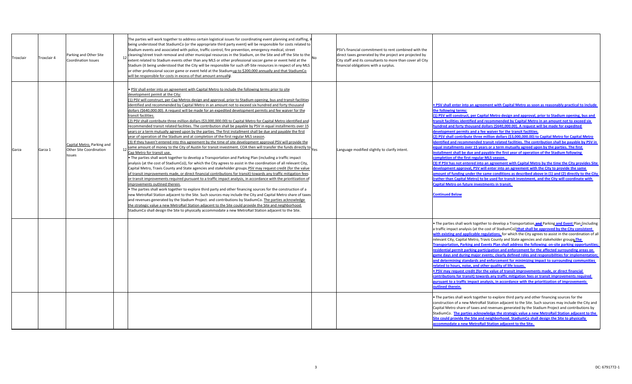| Troxclair 4<br>Troxclair | Parking and Other Site<br>Coordination Issues                         | The parties will work together to address certain logistical issues for coordinating event planning and staffing,<br>being understood that StadiumCo (or the appropriate third party event) will be responsible for costs related to<br>Stadium events and associated with police, traffic control, fire prevention, emergency medical, street<br>$_{12}$ cleaning/street trash removal and other municipal resources in the Stadium, on the Site and off the Site to the $\vert_{\rm No}$<br>extent related to Stadium events other than any MLS or other professional soccer game or event held at the<br>Stadium (it being understood that the City will be responsible for such off-Site resources in respect of any MLS<br>or other professional soccer game or event held at the Stadiumup to \$200,000 annually and that StadiumCo<br>will be responsible for costs in excess of that amount annually.                                                                                                                                                                                                                                                                                                                                                                                                                                                                                                                                                                                                                                                                                                                                                                                                                                                                                                                                                                                                                                                                                                                                                                                                                                                                                                                                                                                                                                                                                                                               | PSV's financial commitment to rent combined with the<br>direct taxes generated by the project are projected by<br>City staff and its consultants to more than cover all City<br>financial obligations with a surplus. |                                                                                                                                                                                                                                                                                                                                                                                                                                                                                                                                                                                                                                                                                                                                                                                                                                                                                                                                                                                                                                                                                                                                                                                                                                                                                                                                                                                                                                                                                                                                                                                                                              |
|--------------------------|-----------------------------------------------------------------------|---------------------------------------------------------------------------------------------------------------------------------------------------------------------------------------------------------------------------------------------------------------------------------------------------------------------------------------------------------------------------------------------------------------------------------------------------------------------------------------------------------------------------------------------------------------------------------------------------------------------------------------------------------------------------------------------------------------------------------------------------------------------------------------------------------------------------------------------------------------------------------------------------------------------------------------------------------------------------------------------------------------------------------------------------------------------------------------------------------------------------------------------------------------------------------------------------------------------------------------------------------------------------------------------------------------------------------------------------------------------------------------------------------------------------------------------------------------------------------------------------------------------------------------------------------------------------------------------------------------------------------------------------------------------------------------------------------------------------------------------------------------------------------------------------------------------------------------------------------------------------------------------------------------------------------------------------------------------------------------------------------------------------------------------------------------------------------------------------------------------------------------------------------------------------------------------------------------------------------------------------------------------------------------------------------------------------------------------------------------------------------------------------------------------------------------------|-----------------------------------------------------------------------------------------------------------------------------------------------------------------------------------------------------------------------|------------------------------------------------------------------------------------------------------------------------------------------------------------------------------------------------------------------------------------------------------------------------------------------------------------------------------------------------------------------------------------------------------------------------------------------------------------------------------------------------------------------------------------------------------------------------------------------------------------------------------------------------------------------------------------------------------------------------------------------------------------------------------------------------------------------------------------------------------------------------------------------------------------------------------------------------------------------------------------------------------------------------------------------------------------------------------------------------------------------------------------------------------------------------------------------------------------------------------------------------------------------------------------------------------------------------------------------------------------------------------------------------------------------------------------------------------------------------------------------------------------------------------------------------------------------------------------------------------------------------------|
| Garza<br>Garza 1         | Capital Metro, Parking and<br>Other Site Coordination<br><b>ssues</b> | PSV shall enter into an agreement with Capital Metro to include the following terms prior to site<br>development permit at the City:<br>(1) PSV will construct, per Cap Metros design and approval, prior to Stadium opening, bus and transit facilities<br>identified and recommended by Capital Metro in an amount not to exceed six hundred and forty thousand<br>dollars (\$640,000.00). A request will be made for an expedited development permits and fee waiver for the<br>transit facilities.<br>(2) PSV shall contribute three million dollars (\$3,000,000.00) to Capital Metro for Capital Metro identified and<br>recommended transit related facilities. The contribution shall be payable by PSV in equal installments over 15<br>years or a term mutually agreed upon by the parties. The first installment shall be due and payable the first<br>year of operation of the Stadium and at completion of the first regular MLS season.<br>(3) If they haven't entered into this agreement by the time of site development approval PSV will provide the<br>same amount of money to the City of Austin for transit investment. COA then will transfer the funds directly to $ _{\text{Yes}}$<br>Cap Metro for transit use.<br>The parties shall work together to develop a Transportation and Parking Plan (including a traffic impact<br>analysis (at the cost of StadiumCo)), for which the City agrees to assist in the coordination of all relevant City,<br>Capital Metro, Travis County and State agencies and stakeholder groups. PSV may request credit (for the value<br>of transit improvements made, or direct financial contributions for transit) towards any traffic mitigation fees<br>or transit improvements required pursuant to a traffic impact analysis, in accordance with the prioritization of<br>improvements outlined therein<br>• The parties shall work together to explore third party and other financing sources for the construction of a<br>new MetroRail Station adjacent to the Site. Such sources may include the City and Capital Metro share of taxes<br>and revenues generated by the Stadium Project. and contributions by StadiumCo. The parties acknowledge<br>the strategic value a new MetroRail Station adjacent to the Site could provide the Site and neighborhood.<br>StadiumCo shall design the Site to physically accommodate a new MetroRail Station adjacent to the Site. | Language modified slightly to clarify intent.                                                                                                                                                                         | . PSV shall enter into an agreement with Capital Metro as soon as reasonably practical to include<br>the following terms:<br>(1) PSV will construct, per Capital Metro design and approval, prior to Stadium opening, bus and<br>transit facilities identified and recommended by Capital Metro in an amount not to exceed six<br>hundred and forty thousand dollars (\$640,000.00). A request will be made for expedited<br>development permits and a fee waiver for the transit facilities.<br>(2) PSV shall contribute three million dollars (\$3,000,000.00) to Capital Metro for Capital Metro<br>identified and recommended transit related facilities. The contribution shall be payable by PSV in<br>qual installments over 15 years or a term mutually agreed upon by the parties. The first<br>installment shall be due and payable the first year of operation of the Stadium following<br>completion of the first regular MLS season.<br>(3) If PSV has not entered into an agreement with Capital Metro by the time the City provides Site<br>development approval, PSV will enter into an agreement with the City to provide the same<br>amount of funding under the same conditions as described above in (1) and (2) directly to the City<br>(rather than Capital Metro) to be used for transit investment, and the City will coordinate with<br><b>Capital Metro on future investments in transit.</b><br><b>Continued Below</b>                                                                                                                                                                            |
|                          |                                                                       |                                                                                                                                                                                                                                                                                                                                                                                                                                                                                                                                                                                                                                                                                                                                                                                                                                                                                                                                                                                                                                                                                                                                                                                                                                                                                                                                                                                                                                                                                                                                                                                                                                                                                                                                                                                                                                                                                                                                                                                                                                                                                                                                                                                                                                                                                                                                                                                                                                             |                                                                                                                                                                                                                       | • The parties shall work together to develop a Transportation, and Parking and Event Plan (including<br>a traffic impact analysis (at the cost of StadiumCo))that shall be approved by the City consistent<br>with existing and applicable regulations, for which the City agrees to assist in the coordination of all<br>relevant City, Capital Metro, Travis County and State agencies and stakeholder groups The<br>Transportation, Parking and Events Plan shall address the following: on-site parking opportunities<br>residential permit parking participation and enforcement for the affected surrounding areas on<br>game days and during major events; clearly defined roles and responsibilities for implementation<br>and determining standards and enforcement for minimizing impact to surrounding communities<br>related to hours, noise, and other quality of life issues.<br>. PSV may request credit (for the value of transit improvements made, or direct financial<br>contributions for transit) towards any traffic mitigation fees or transit improvements required<br>pursuant to a traffic impact analysis, in accordance with the prioritization of improvements<br>outlined therein.<br>. The parties shall work together to explore third party and other financing sources for the<br>construction of a new MetroRail Station adjacent to the Site. Such sources may include the City and<br>Capital Metro share of taxes and revenues generated by the Stadium Project and contributions by<br>StadiumCo. The parties acknowledge the strategic value a new MetroRail Station adjacent to the |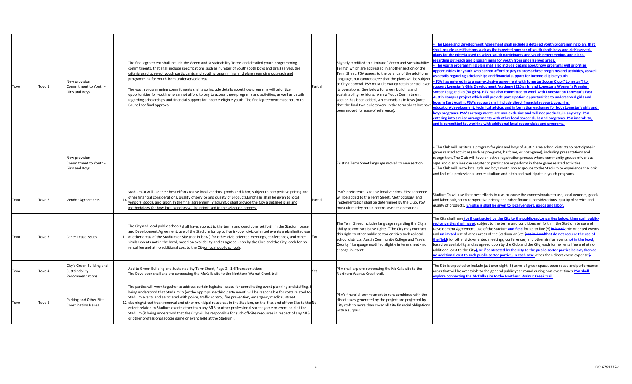| Tovo | Tovo 1 | New provision:<br>Commitment to Youth -<br>Girls and Boys      | The final agreement shall include the Green and Sustainability Terms and detailed youth programming<br>commitments, that shall include specifications such as number of youth (both boys and girls) served, the<br>criteria used to select youth participants and youth programming, and plans regarding outreach and<br>programming for youth from underserved areas.<br>The youth programming commitments shall also include details about how programs will prioritize<br>opportunities for youth who cannot afford to pay to access these programs and activities, as well as details<br>regarding scholarships and financial support for income-eligible youth. The final agreement must return to<br>Council for final approval.                                        | Partial | Slighltly modified to eliminate "Green and Sustainability<br>Terms" which are addressed in another section of the<br>Term Sheet. PSV agrees to the balance of the additional<br>language, but cannot agree that the plans will be subject<br>to City approval. PSV must ultimatley retain control over<br>its operations. See below for green building and<br>sustainability revisions. A new Youth Commitment<br>section has been added, which reads as follows (note<br>that the final two bullets were in the term sheet but have<br>been moved for ease of reference). | . The Lease and Development Agreement shall include a detailed youth programming plan, that<br>shall include specifications such as the targeted number of youth (both boys and girls) served,<br>plans for the criteria used to select youth participants and youth programming, and plans<br>egarding outreach and programming for youth from underserved areas.<br>. The youth programming plan shall also include details about how programs will prioritize<br>opportunities for youth who cannot afford to pay to access these programs and activities, as well<br>s details regarding scholarships and financial support for income-eligible youth.<br>. PSV has entered into a non-exclusive agreement with Lonestar Soccer Club ("Lonestar") to<br>upport Lonestar's Girls Development Academy (120 girls) and Lonestar's Women's Premier<br>Soccer League club (30 girls). PSV has also committed to work with Lonestar on Lonestar's East<br>Austin Campus project which will provide participation opportunities to underserved girls and<br>boys in East Austin. PSV's support shall include direct financial support, coaching<br>education/development, technical advice, and information exchange for both Lonestar's girls and<br>boys programs. PSV's arrangements are non-exclusive and will not preclude, in any way, PSV<br>entering into similar arrangements with other local soccer clubs and programs. PSV intends to,<br>and is committed to, working with additional local soccer clubs and programs. |
|------|--------|----------------------------------------------------------------|-------------------------------------------------------------------------------------------------------------------------------------------------------------------------------------------------------------------------------------------------------------------------------------------------------------------------------------------------------------------------------------------------------------------------------------------------------------------------------------------------------------------------------------------------------------------------------------------------------------------------------------------------------------------------------------------------------------------------------------------------------------------------------|---------|----------------------------------------------------------------------------------------------------------------------------------------------------------------------------------------------------------------------------------------------------------------------------------------------------------------------------------------------------------------------------------------------------------------------------------------------------------------------------------------------------------------------------------------------------------------------------|----------------------------------------------------------------------------------------------------------------------------------------------------------------------------------------------------------------------------------------------------------------------------------------------------------------------------------------------------------------------------------------------------------------------------------------------------------------------------------------------------------------------------------------------------------------------------------------------------------------------------------------------------------------------------------------------------------------------------------------------------------------------------------------------------------------------------------------------------------------------------------------------------------------------------------------------------------------------------------------------------------------------------------------------------------------------------------------------------------------------------------------------------------------------------------------------------------------------------------------------------------------------------------------------------------------------------------------------------------------------------------------------------------------------------------------------------------------------------------------------------------------------------------|
|      |        | New provision:<br>Commitment to Youth -<br>Girls and Boys      |                                                                                                                                                                                                                                                                                                                                                                                                                                                                                                                                                                                                                                                                                                                                                                               |         | Existing Term Sheet language moved to new section.                                                                                                                                                                                                                                                                                                                                                                                                                                                                                                                         | The Club will institute a program for girls and boys of Austin area school districts to participate in<br>game related activities (such as pre-game, halftime, or post-game), including presentations and<br>recognition. The Club will have an active registration process where community groups of various<br>ages and disciplines can register to participate or perform in these game related activities.<br>. The Club will invite local girls and boys youth soccer groups to the Stadium to experience the look<br>and feel of a professional soccer stadium and pitch and participate in youth programs.                                                                                                                                                                                                                                                                                                                                                                                                                                                                                                                                                                                                                                                                                                                                                                                                                                                                                                                |
| Tovo | Tovo 2 | <b>Vendor Agreements</b>                                       | StadiumCo will use their best efforts to use local vendors, goods and labor, subject to competitive pricing and<br>other financial considerations, quality of service and quality of products. Emphasis shall be given to local<br>vendors, goods, and labor. In the final agreement, StadiumCo shall provide the City a detailed plan and<br>methodology for how local vendors will be prioritized in the selection process                                                                                                                                                                                                                                                                                                                                                  | Partial | PSV's preference is to use local vendors. First sentence<br>will be added to the Term Sheet. Methodology and<br>implementation shall be determined by the Club. PSV<br>must ultimatley retain control over its operations.                                                                                                                                                                                                                                                                                                                                                 | StadiumCo will use their best efforts to use, or cause the concessionaire to use, local vendors, goods<br>and labor, subject to competitive pricing and other financial considerations, quality of service and<br>quality of products. <b>Emphasis shall be given to local vendors, goods and labor.</b>                                                                                                                                                                                                                                                                                                                                                                                                                                                                                                                                                                                                                                                                                                                                                                                                                                                                                                                                                                                                                                                                                                                                                                                                                         |
| Tovo | Tovo 3 | Other Lease Issues                                             | The City and local public schools shall have, subject to the terms and conditions set forth in the Stadium Lease<br>and Development Agreement, use of the Stadium for up to five in-bowl civic-oriented events andunlimited use<br>11 of other areas of the Stadium or Site (not in-bowl) for other civic-oriented meetings, conferences, and other<br>similar events not in the bowl, based on availability and as agreed upon by the Club and the City, each for no<br>rental fee and at no additional cost to the Cityor local public schools.                                                                                                                                                                                                                             | Yes     | The Term Sheet includes language regarding the City's<br>ability to contract is use rights. "The City may contract<br>this right to other public-sector entities such as local<br>school districts, Austin Community College and Travis<br>County." Language modified slightly in term sheet - no<br>change in intent.                                                                                                                                                                                                                                                     | The City shall have (or if contracted by the City to the public-sector parties below, then such public<br>sector parties shall have), subject to the terms and conditions set forth in the Stadium Lease and<br>Development Agreement, use of the Stadium and field for up to five (5) in bowl civic-oriented events<br>and <i>unlimited</i> use of other areas of the Stadium or Site (not in-bowlthat do not require the use of<br>the field) for other civic-oriented meetings, conferences, and other similar eventsnot in the bowl,<br>based on availability and as agreed upon by the Club and the City, each for no rental fee and at no<br>additional cost to the City <sub>4</sub> , or if contracted by the City to the public-sector parties below, then at<br>no additional cost to such public-sector parties, in each case other than direct event expenses).                                                                                                                                                                                                                                                                                                                                                                                                                                                                                                                                                                                                                                                      |
| Tovo | Tovo 4 | City's Green Building and<br>Sustainability<br>Recommendations | Add to Green Building and Sustainability Term Sheet, Page 2 - 1.6 Transportation:<br>The Developer shall explore connecting the McKalla site to the Northern Walnut Creek trail.                                                                                                                                                                                                                                                                                                                                                                                                                                                                                                                                                                                              | Yes     | PSV shall explore connecting the McKalla site to the<br>Northern Walnut Creek trail.                                                                                                                                                                                                                                                                                                                                                                                                                                                                                       | The Site is expected to include just over eight (8) acres of green space, open space and performance<br>areas that will be accessible to the general public year-round during non-event times.PSV shall<br>explore connecting the McKalla site to the Northern Walnut Creek trail.                                                                                                                                                                                                                                                                                                                                                                                                                                                                                                                                                                                                                                                                                                                                                                                                                                                                                                                                                                                                                                                                                                                                                                                                                                               |
| Tovo | Tovo 5 | Parking and Other Site<br><b>Coordination Issues</b>           | The parties will work together to address certain logistical issues for coordinating event planning and staffing, i<br>being understood that StadiumCo (or the appropriate third party event) will be responsible for costs related to<br>Stadium events and associated with police, traffic control, fire prevention, emergency medical, street<br>12 cleaning/street trash removal and other municipal resources in the Stadium, on the Site, and off the Site to the No<br>extent related to Stadium events other than any MLS or other professional soccer game or event held at the<br>Stadium (it being understood that the City will be responsible for such off Site resources in respect of any MLS<br>other professional soccer game or event held at the Stadium). |         | PSV's financial commitment to rent combined with the<br>direct taxes generated by the project are projected by<br>City staff to more than cover all City financial obligations<br>with a surplus.                                                                                                                                                                                                                                                                                                                                                                          |                                                                                                                                                                                                                                                                                                                                                                                                                                                                                                                                                                                                                                                                                                                                                                                                                                                                                                                                                                                                                                                                                                                                                                                                                                                                                                                                                                                                                                                                                                                                  |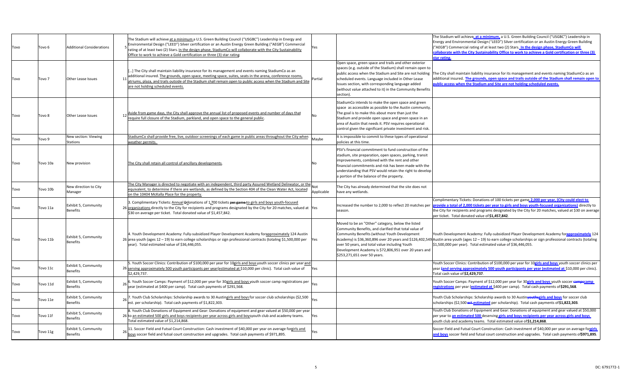| Tovo | Tovo 6            | <b>Additional Considerations</b>        | The Stadium will achieve at a minimum a U.S. Green Building Council ("USGBC") Leadership in Energy and<br>Environmental Design ("LEED") Silver certification or an Austin Energy Green Building ("AEGB") Commercial<br>Yes<br>rating of at least two (2) Stars. In the design phase, StadiumCo will collaborate with the City Sustainability<br>Office to work to achieve a Gold certification or three (3) star rating | The Stadium will achieve <u>, at a minimum,</u> a U.S. Green Building Council ("USGBC") Leadership in<br>Energy and Environmental Design ("LEED") Silver certification or an Austin Energy Green Building<br>("AEGB") Commercial rating of at least two (2) Stars. In the design phase, StadiumCo will<br>collaborate with the City Sustainability Office to work to achieve a Gold certification or three (3)<br>tar rating.                                                                                                                                                                                                                           |
|------|-------------------|-----------------------------------------|-------------------------------------------------------------------------------------------------------------------------------------------------------------------------------------------------------------------------------------------------------------------------------------------------------------------------------------------------------------------------------------------------------------------------|---------------------------------------------------------------------------------------------------------------------------------------------------------------------------------------------------------------------------------------------------------------------------------------------------------------------------------------------------------------------------------------------------------------------------------------------------------------------------------------------------------------------------------------------------------------------------------------------------------------------------------------------------------|
| Tovo | Tovo <sub>7</sub> | Other Lease Issues                      | ] The City shall maintain liability insurance for its management and events naming StadiumCo as an<br>additional insured. The grounds, open space, meeting space, suites, seats in the arena, conference rooms,<br>Partial<br>atriums, plaza, and trails outside of the Stadium shall remain open to public access when the Stadium and Site<br>are not holding scheduled events.                                       | Open space, green space and trails and other exterior<br>spaces (e.g. outside of the Stadium) shall remain open to<br>public access when the Stadium and Site are not holding<br>The City shall maintain liability insurance for its management and events naming StadiumCo as an<br>additional insured. The grounds, open space and trails outside of the Stadium shall remain open to<br>scheduled events. Language included in Other Lease<br>ublic access when the Stadium and Site are not holding scheduled events.<br>Issues section, with corresponding language added<br>(without value attached to it) in the Community Benefits<br>section). |
| Tovo | Tovo 8            | Other Lease Issues                      | 12 Aside from game days, the City shall approve the annual list of proposed events and number of days that<br>No<br>require full closure of the Stadium, parkland, and open space to the general public.                                                                                                                                                                                                                | StadiumCo intends to make the open space and green<br>space as accessible as possible to the Austin community.<br>The goal is to make this about more than just the<br>Stadium and provide open space and green space in an<br>area of Austin that needs it. PSV requires operational<br>control given the significant private investment and risk.                                                                                                                                                                                                                                                                                                     |
| Tovo | Tovo 9            | New section: Viewing<br>Stations        | StadiumCo shall provide free, live, outdoor screenings of each game in public areas throughout the City when<br>Maybe<br>weather permits                                                                                                                                                                                                                                                                                | It is impossible to commit to these types of operational<br>policies at this time.                                                                                                                                                                                                                                                                                                                                                                                                                                                                                                                                                                      |
| Tovo | Tovo 10a          | New provision                           | The City shall retain all control of ancillary developments.<br>Nn                                                                                                                                                                                                                                                                                                                                                      | PSV's financial commitment to fund construction of the<br>stadium, site preparation, open spaces, parking, transit<br>improvements, combined with the rent and other<br>financial commitments and risk has been made with the<br>understanding that PSV would retain the right to develop<br>a portion of the balance of the property.                                                                                                                                                                                                                                                                                                                  |
| Tovo | Tovo 10b          | New direction to City<br>Manager        | The City Manager is directed to negotiate with an independent, third party Assured Wetland Delineator, or the<br>equivalent, to determine if there are wetlands, as defined by the Section 404 of the Clean Water Act, located<br>Applicable<br>on the 10404 McKalla Place for the property.                                                                                                                            | The City has already determined that the site does not<br>have any wetlands.                                                                                                                                                                                                                                                                                                                                                                                                                                                                                                                                                                            |
| Tovo | Tovo 11a          | Exhibit 5, Community<br><b>Benefits</b> | 3. Complimentary Tickets: Annual Pdonations of 1,700 tickets per game to girls and boys youth-focused<br>26 organizations directly to the City for recipients and programs designated by the City for 20 matches, valued at Yes<br>\$30 on average per ticket. Total donated value of \$1,457,842.                                                                                                                      | Complimentary Tickets: Donations of 100 tickets per game 2,000 per year, (City could elect to<br>provide a total of 2,000 tickets per year to girls and boys youth-focused organizations) directly to<br>Increased the number to 2,000 to reflect 20 matches per<br>the City for recipients and programs designated by the City for 20 matches, valued at \$30 on average<br>season.<br>per ticket. Total donated value of \$1,457,842.                                                                                                                                                                                                                 |
| Tovo | Tovo 11b          | Exhibit 5, Community<br>Benefits        | 4. Youth Development Academy: Fully-subsidized Player Development Academy forapproximately 124 Austin<br>$26$ area youth (ages $12 - 19$ ) to earn college scholarships or sign professional contracts (totaling \$1,500,000 per<br>Yes<br>year). Total estimated value of \$36,446,055.                                                                                                                                | Moved to be an "Other" category, below the listed<br>Community Benefits, and clarified that total value of<br>Community Benefits (without Youth Development<br>Youth Development Academy: Fully-subsidized Player Development Academy foranproximately 124<br>Academy) is \$36,360,896 over 20 years and \$126,402,549 Austin area youth (ages 12 - 19) to earn college scholarships or sign professional contracts (totaling<br>over 50 years, and total value including Youth<br>\$1,500,000 per year). Total estimated value of \$36,446,055.<br>Development Academy is \$72,806,951 over 20 years and<br>\$253,271,651 over 50 years.               |
| Tovo | Tovo 11c          | Exhibit 5, Community<br>Benefits        | 5. Youth Soccer Clinics: Contribution of \$100,000 per year for 10girls and boys youth soccer clinics per year and<br>26 serving approximately 500 youth participants per year (estimated at \$10,000 per clinic). Total cash value of<br>Yes<br>\$2,429,737.                                                                                                                                                           | Youth Soccer Clinics: Contribution of \$100,000 per year for 10girls and boys youth soccer clinics per<br>year fand serving approximately 500 youth participants per year (estimated at \$10,000 per clinic).<br>Total cash value of \$2,429,737.                                                                                                                                                                                                                                                                                                                                                                                                       |
| Tovo | Tovo 11d          | Exhibit 5, Community<br>Benefits        | 26 6. Youth Soccer Camps: Payment of \$12,000 per year for 30 girls and boys youth soccer camp registrations per<br>Yes<br>year (estimated at \$400 per camp). Total cash payments of \$291,568.                                                                                                                                                                                                                        | Youth Soccer Camps: Payment of \$12,000 per year for 30g <mark>irls and boys</mark> youth soccer eampscamp<br>egistrations per year (estimated at \$400 per camp). Total cash payments of \$291,568.                                                                                                                                                                                                                                                                                                                                                                                                                                                    |
| Tovo | Tovo 11e          | Exhibit 5, Community<br><b>Benefits</b> | 26 7. Youth Club Scholarships: Scholarship awards to 30 Austingirls and boys for soccer club scholarships (\$2,500<br>est. per scholarship). Total cash payments of \$1,822,303.                                                                                                                                                                                                                                        | Youth Club Scholarships: Scholarship awards to 30 Austin <b>youthsgirls and boys</b> for soccer club<br>scholarships (\$2,500 est-estimated per scholarship). Total cash payments of \$1,822,303.                                                                                                                                                                                                                                                                                                                                                                                                                                                       |
| Tovo | Tovo 11f          | Exhibit 5, Community<br><b>Benefits</b> | 8. Youth Club Donations of Equipment and Gear: Donations of equipment and gear valued at \$50,000 per year<br>26 to an estimated 500 girls and boys recipients per year across girls and boysyouth club and academy teams.<br>Yes<br>Total estimated value of \$1,214,868.                                                                                                                                              | Youth Club Donations of Equipment and Gear: Donations of equipment and gear valued at \$50,000<br>per year to an estimated 500 deserving girls and boys recipients per year across girls and boys<br>youth club and academy teams. Total estimated value of \$1,214,868.                                                                                                                                                                                                                                                                                                                                                                                |
| Tovo | Tovo 11g          | Exhibit 5, Community<br>Benefits        | 11. Soccer Field and Futsal Court Construction: Cash investment of \$40,000 per year on average forgirls and<br>Yes<br>boys soccer field and futsal court construction and upgrades. Total cash payments of \$971,895.                                                                                                                                                                                                  | Soccer Field and Futsal Court Construction: Cash investment of \$40,000 per year on average forgirls<br>nd boys soccer field and futsal court construction and upgrades. Total cash payments of\$971,895.                                                                                                                                                                                                                                                                                                                                                                                                                                               |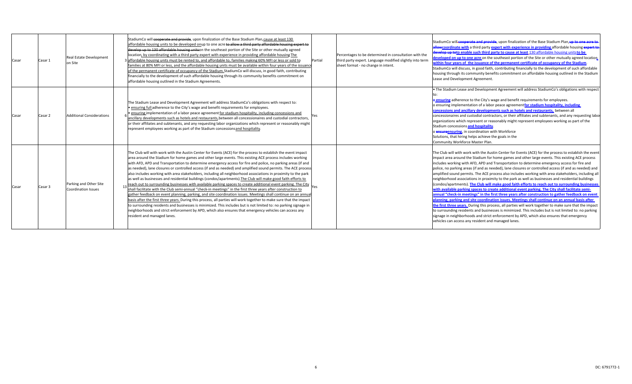| Casar | Casar 1 | <b>Real Estate Development</b><br>on Site            | StadiumCo will cooperate and provide, upon finalization of the Base Stadium Plan, cause at least 130<br>affordable housing units to be developed onup to one acre to allow a third party affordable housing expert to<br>develop up to 130 affordable housing unitson the southeast portion of the Site or other mutually agreed<br>location, by coordinating with a third party expert with experience in providing affordable housing The<br>3 affordable housing units must be rented to, and affordable to, families making 60% MFI or less or sold to<br>families at 80% MFI or less, and the affordable housing units must be available within four years of the issuance<br>of the permanent certificate of occupancy of the Stadium. StadiumCo will discuss, in good faith, contributing<br>financially to the development of such affordable housing through its community benefits commitment on<br>affordable housing outlined in the Stadium Agreements.                                                                                                                                                                                                                                                                                                                                                                                                                                                                    | Partial | Percentages to be determined in consultation with the<br>third party expert. Language modified slightly into term<br>sheet format - no change in intent. | StadiumCo will cooperate and provide, upon finalization of the Base Stadium Plan, up to one acre to<br>allowcoordinate with a third party expert with experience in providing affordable housing expert to<br>develop up toto enable such third party to cause at least 130 affordable housing units to be<br>developed on up to one acre on the southeast portion of the Site or other mutually agreed location<br>within four years of the issuance of the permanent certificate of occupancy of the Stadium.<br>StadiumCo will discuss, in good faith, contributing financially to the development of such affordable<br>housing through its community benefits commitment on affordable housing outlined in the Stadium<br>Lease and Development Agreement.                                                                                                                                                                                                                                                                                                                                                                                                                                                                                                                                                                                                                                                               |
|-------|---------|------------------------------------------------------|-----------------------------------------------------------------------------------------------------------------------------------------------------------------------------------------------------------------------------------------------------------------------------------------------------------------------------------------------------------------------------------------------------------------------------------------------------------------------------------------------------------------------------------------------------------------------------------------------------------------------------------------------------------------------------------------------------------------------------------------------------------------------------------------------------------------------------------------------------------------------------------------------------------------------------------------------------------------------------------------------------------------------------------------------------------------------------------------------------------------------------------------------------------------------------------------------------------------------------------------------------------------------------------------------------------------------------------------------------------------------------------------------------------------------------------------|---------|----------------------------------------------------------------------------------------------------------------------------------------------------------|-------------------------------------------------------------------------------------------------------------------------------------------------------------------------------------------------------------------------------------------------------------------------------------------------------------------------------------------------------------------------------------------------------------------------------------------------------------------------------------------------------------------------------------------------------------------------------------------------------------------------------------------------------------------------------------------------------------------------------------------------------------------------------------------------------------------------------------------------------------------------------------------------------------------------------------------------------------------------------------------------------------------------------------------------------------------------------------------------------------------------------------------------------------------------------------------------------------------------------------------------------------------------------------------------------------------------------------------------------------------------------------------------------------------------------|
| Casar | Casar 2 | <b>Additional Considerations</b>                     | The Stadium Lease and Development Agreement will address StadiumCo's obligations with respect to:<br>• ensuring full adherence to the City's wage and benefit requirements for employees.<br>. ensuring implementation of a labor peace agreement for stadium hospitality, including concessions and<br>ancillary developments such as hotels and restaurants, between all concessionaires and custodial contractors,<br>or their affiliates and subtenants, and any requesting labor organizations which represent or reasonably might<br>represent employees working as part of the Stadium concessions and hospitality.                                                                                                                                                                                                                                                                                                                                                                                                                                                                                                                                                                                                                                                                                                                                                                                                              |         |                                                                                                                                                          | . The Stadium Lease and Development Agreement will address StadiumCo's obligations with respect<br>o ensuring adherence to the City's wage and benefit requirements for employees.<br>o ensuring implementation of a labor peace agreement for stadium hospitality, including<br>concessions and ancillary developments such as hotels and restaurants, between all<br>concessionaires and custodial contractors, or their affiliates and subtenants, and any requesting labor<br>organizations which represent or reasonably might represent employees working as part of the<br>Stadium concessions and hospitality.<br>o ensureensuring, in coordination with Workforce<br>Solutions, that hiring helps achieve the goals in the<br>Community Workforce Master Plan.                                                                                                                                                                                                                                                                                                                                                                                                                                                                                                                                                                                                                                                       |
| Casar | Casar 3 | Parking and Other Site<br><b>Coordination Issues</b> | The Club will with work with the Austin Center for Events (ACE) for the process to establish the event impact<br>area around the Stadium for home games and other large events. This existing ACE process includes working<br>with AFD, APD and Transportation to determine emergency access for fire and police, no parking areas (if and<br>as needed), lane closures or controlled access (if and as needed) and amplified sound permits. The ACE process<br>also includes working with area stakeholders, including all neighborhood associations in proximity to the park<br>as well as businesses and residential buildings (condos/apartments). The Club will make good faith efforts to<br>reach out to surrounding businesses with available parking spaces to create additional event parking. The City<br>shall facilitate with the Club semi-annual "check-in meetings" in the first three years after construction to<br>gather feedback on event planning, parking, and site coordination issues. Meetings shall continue on an annua<br>basis after the first three years. During this process, all parties will work together to make sure that the impact<br>to surrounding residents and businesses is minimized. This includes but is not limited to: no parking signage in<br>neighborhoods and strict enforcement by APD, which also ensures that emergency vehicles can access any<br>resident and managed lanes. |         |                                                                                                                                                          | The Club will with work with the Austin Center for Events (ACE) for the process to establish the event<br>impact area around the Stadium for home games and other large events. This existing ACE process<br>includes working with AFD, APD and Transportation to determine emergency access for fire and<br>police, no parking areas (if and as needed), lane closures or controlled access (if and as needed) and<br>amplified sound permits. The ACE process also includes working with area stakeholders, including all<br>neighborhood associations in proximity to the park as well as businesses and residential buildings<br>(condos/apartments). The Club will make good faith efforts to reach out to surrounding businesses<br>with available parking spaces to create additional event parking. The City shall facilitate semi-<br>annual "check-in meetings" in the first three years after construction to gather feedback on event<br>planning, parking and site coordination issues. Meetings shall continue on an annual basis after<br>the first three years. During this process, all parties will work together to make sure that the impact<br>to surrounding residents and businesses is minimized. This includes but is not limited to: no parking<br>signage in neighborhoods and strict enforcement by APD, which also ensures that emergency<br>vehicles can access any resident and managed lanes. |